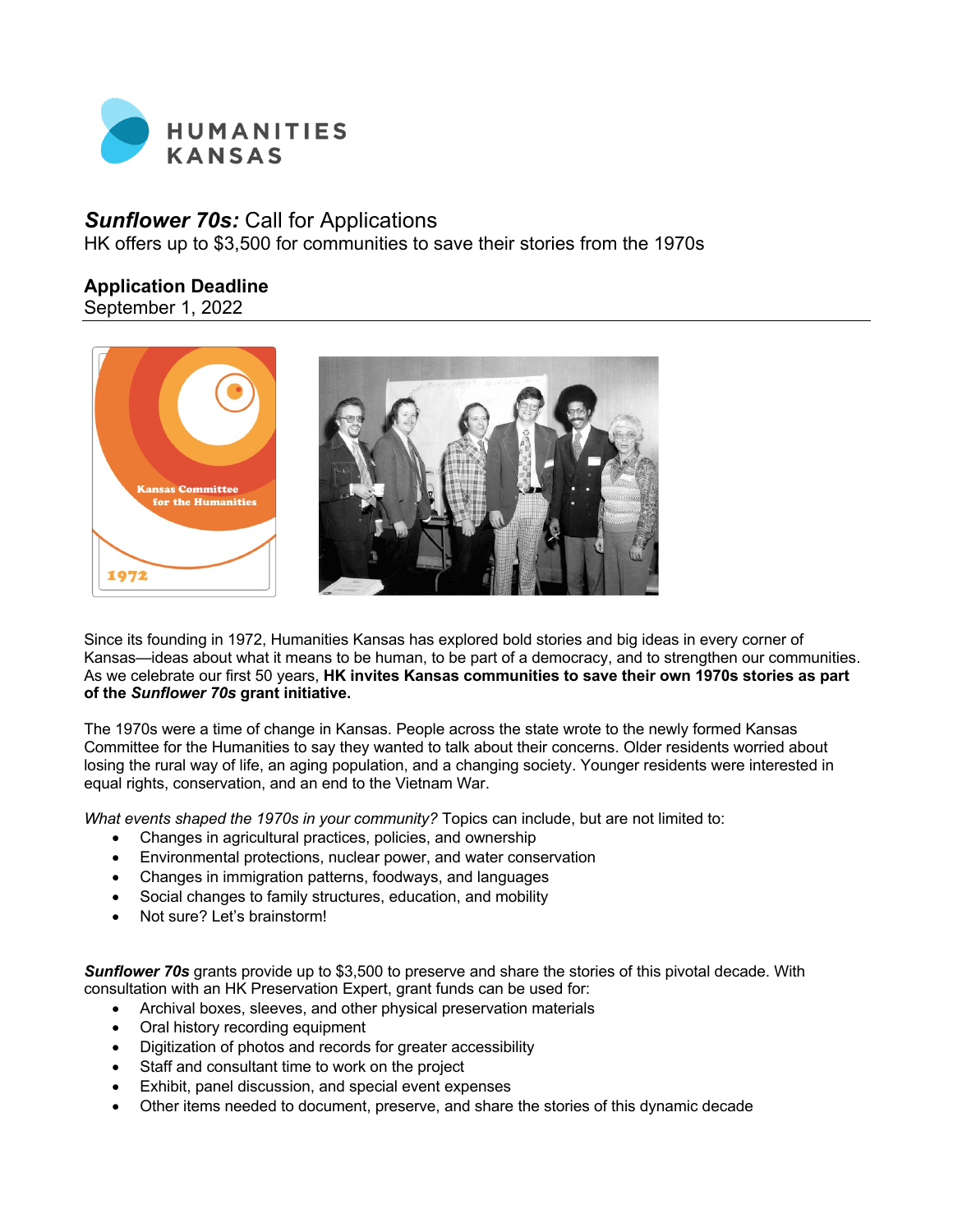

# *Sunflower 70s:* Call for Applications

HK offers up to \$3,500 for communities to save their stories from the 1970s

# **Application Deadline**

September 1, 2022



Since its founding in 1972, Humanities Kansas has explored bold stories and big ideas in every corner of Kansas—ideas about what it means to be human, to be part of a democracy, and to strengthen our communities. As we celebrate our first 50 years, **HK invites Kansas communities to save their own 1970s stories as part of the** *Sunflower 70s* **grant initiative.**

The 1970s were a time of change in Kansas. People across the state wrote to the newly formed Kansas Committee for the Humanities to say they wanted to talk about their concerns. Older residents worried about losing the rural way of life, an aging population, and a changing society. Younger residents were interested in equal rights, conservation, and an end to the Vietnam War.

*What events shaped the 1970s in your community?* Topics can include, but are not limited to:

- Changes in agricultural practices, policies, and ownership
- Environmental protections, nuclear power, and water conservation
- Changes in immigration patterns, foodways, and languages
- Social changes to family structures, education, and mobility
- Not sure? Let's brainstorm!

*Sunflower 70s* grants provide up to \$3,500 to preserve and share the stories of this pivotal decade. With consultation with an HK Preservation Expert, grant funds can be used for:

- Archival boxes, sleeves, and other physical preservation materials
- Oral history recording equipment
- Digitization of photos and records for greater accessibility
- Staff and consultant time to work on the project
- Exhibit, panel discussion, and special event expenses
- Other items needed to document, preserve, and share the stories of this dynamic decade